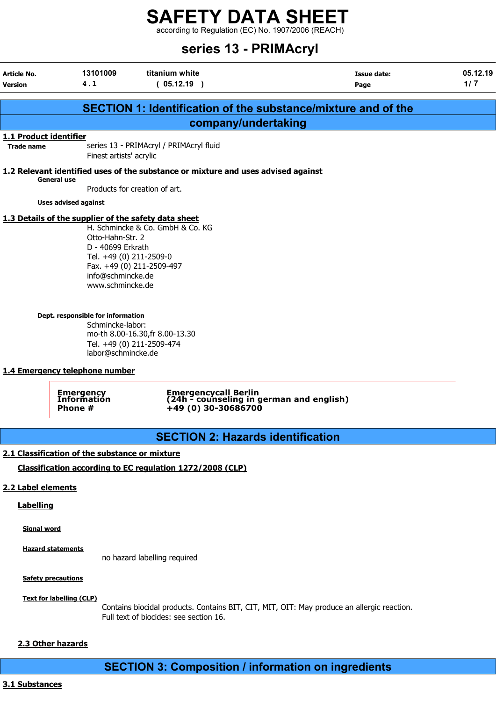according to Regulation (EC) No. 1907/2006 (REACH)

# series 13 - PRIMAcryl

| Article No.<br><b>Version</b>               | 13101009<br>4.1                                                                                                                                                   | titanium white<br>(05.12.19)                                                        | Issue date:<br>Page                                                  | 05.12.19<br>1/7 |
|---------------------------------------------|-------------------------------------------------------------------------------------------------------------------------------------------------------------------|-------------------------------------------------------------------------------------|----------------------------------------------------------------------|-----------------|
|                                             |                                                                                                                                                                   |                                                                                     | <b>SECTION 1: Identification of the substance/mixture and of the</b> |                 |
|                                             |                                                                                                                                                                   | company/undertaking                                                                 |                                                                      |                 |
| 1.1 Product identifier<br><b>Trade name</b> | Finest artists' acrylic                                                                                                                                           | series 13 - PRIMAcryl / PRIMAcryl fluid                                             |                                                                      |                 |
|                                             |                                                                                                                                                                   | 1.2 Relevant identified uses of the substance or mixture and uses advised against   |                                                                      |                 |
| <b>General use</b>                          |                                                                                                                                                                   | Products for creation of art.                                                       |                                                                      |                 |
|                                             | <b>Uses advised against</b>                                                                                                                                       |                                                                                     |                                                                      |                 |
|                                             | 1.3 Details of the supplier of the safety data sheet<br>Otto-Hahn-Str. 2<br>D - 40699 Erkrath<br>Tel. +49 (0) 211-2509-0<br>info@schmincke.de<br>www.schmincke.de | H. Schmincke & Co. GmbH & Co. KG<br>Fax. +49 (0) 211-2509-497                       |                                                                      |                 |
|                                             | Dept. responsible for information<br>Schmincke-labor:<br>labor@schmincke.de<br>1.4 Emergency telephone number<br>Emergency<br>Information<br>Phone #              | mo-th 8.00-16.30, fr 8.00-13.30<br>Tel. +49 (0) 211-2509-474<br>+49 (0) 30-30686700 | Emergencycall Berlin<br>(24h - counseling in german and english)     |                 |
|                                             |                                                                                                                                                                   |                                                                                     |                                                                      |                 |
|                                             |                                                                                                                                                                   | <b>SECTION 2: Hazards identification</b>                                            |                                                                      |                 |
|                                             | 2.1 Classification of the substance or mixture                                                                                                                    |                                                                                     |                                                                      |                 |
|                                             |                                                                                                                                                                   | Classification according to EC regulation 1272/2008 (CLP)                           |                                                                      |                 |
| 2.2 Label elements                          |                                                                                                                                                                   |                                                                                     |                                                                      |                 |

# **Labelling**

Signal word

**Hazard statements** 

no hazard labelling required

**Safety precautions** 

Text for labelling (CLP)

Contains biocidal products. Contains BIT, CIT, MIT, OIT: May produce an allergic reaction. Full text of biocides: see section 16.

# 2.3 Other hazards

SECTION 3: Composition / information on ingredients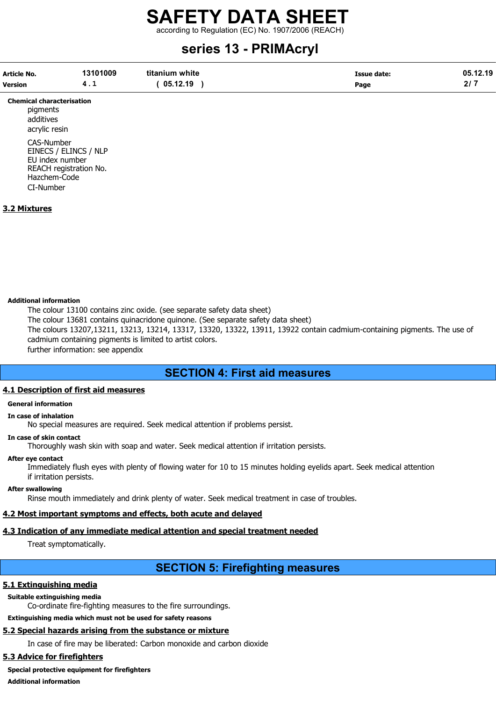according to Regulation (EC) No. 1907/2006 (REACH)

# series 13 - PRIMAcryl

| Article No.    | 13101009 | titanium white | Issue date: | 05.12.19  |
|----------------|----------|----------------|-------------|-----------|
| <b>Version</b> |          | 05.12.19       | Page        | <b>01</b> |

Chemical characterisation pigments

additives acrylic resin

CAS-Number EINECS / ELINCS / NLP EU index number REACH registration No. Hazchem-Code CI-Number

# 3.2 Mixtures

# Additional information

The colour 13100 contains zinc oxide. (see separate safety data sheet) The colour 13681 contains quinacridone quinone. (See separate safety data sheet) The colours 13207,13211, 13213, 13214, 13317, 13320, 13322, 13911, 13922 contain cadmium-containing pigments. The use of cadmium containing pigments is limited to artist colors. further information: see appendix

# SECTION 4: First aid measures

# 4.1 Description of first aid measures

# General information

# In case of inhalation

No special measures are required. Seek medical attention if problems persist.

#### In case of skin contact

Thoroughly wash skin with soap and water. Seek medical attention if irritation persists.

# After eye contact

Immediately flush eyes with plenty of flowing water for 10 to 15 minutes holding eyelids apart. Seek medical attention if irritation persists.

### After swallowing

Rinse mouth immediately and drink plenty of water. Seek medical treatment in case of troubles.

# 4.2 Most important symptoms and effects, both acute and delayed

# 4.3 Indication of any immediate medical attention and special treatment needed

Treat symptomatically.

# SECTION 5: Firefighting measures

# 5.1 Extinguishing media

# Suitable extinguishing media

Co-ordinate fire-fighting measures to the fire surroundings.

Extinguishing media which must not be used for safety reasons

# 5.2 Special hazards arising from the substance or mixture

In case of fire may be liberated: Carbon monoxide and carbon dioxide

# 5.3 Advice for firefighters

# Special protective equipment for firefighters

Additional information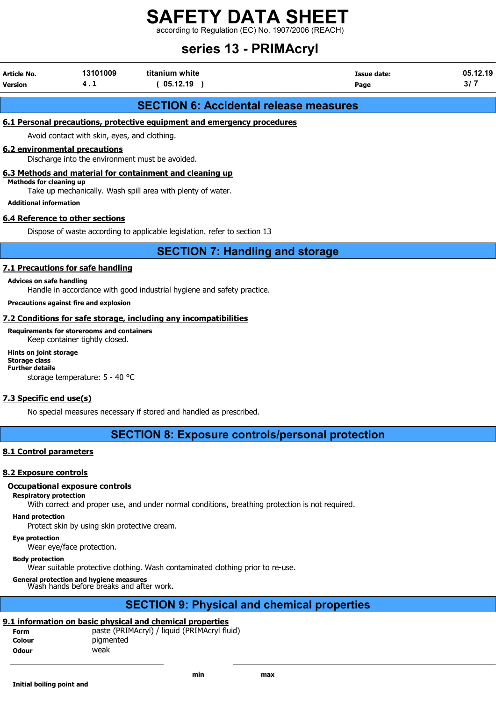according to Regulation (EC) No. 1907/2006 (REACH)

# series 13 - PRIMAcryl

| Article No.<br><b>Version</b> | 13101009<br>. . | titanium white<br>05.12.19 | Issue date:<br>Page | 05.12.19 |
|-------------------------------|-----------------|----------------------------|---------------------|----------|
|-------------------------------|-----------------|----------------------------|---------------------|----------|

# SECTION 6: Accidental release measures

# 6.1 Personal precautions, protective equipment and emergency procedures

Avoid contact with skin, eyes, and clothing.

# 6.2 environmental precautions

Discharge into the environment must be avoided.

# 6.3 Methods and material for containment and cleaning up

Methods for cleaning up

Take up mechanically. Wash spill area with plenty of water.

Additional information

# 6.4 Reference to other sections

Dispose of waste according to applicable legislation. refer to section 13

SECTION 7: Handling and storage

# 7.1 Precautions for safe handling

#### Advices on safe handling

Handle in accordance with good industrial hygiene and safety practice.

### Precautions against fire and explosion

# 7.2 Conditions for safe storage, including any incompatibilities

#### Requirements for storerooms and containers Keep container tightly closed.

Hints on joint storage Storage class Further details storage temperature: 5 - 40 °C

# 7.3 Specific end use(s)

No special measures necessary if stored and handled as prescribed.

# SECTION 8: Exposure controls/personal protection

# 8.1 Control parameters

# 8.2 Exposure controls

# Occupational exposure controls

Respiratory protection

With correct and proper use, and under normal conditions, breathing protection is not required.

#### Hand protection

Protect skin by using skin protective cream.

#### Eye protection

Wear eye/face protection.

# Body protection

Wear suitable protective clothing. Wash contaminated clothing prior to re-use.

General protection and hygiene measures Wash hands before breaks and after work.

# SECTION 9: Physical and chemical properties

# 9.1 information on basic physical and chemical properties

| Form   | paste (PRIMAcryl) / liquid (PRIMAcryl fluid) |
|--------|----------------------------------------------|
| Colour | pigmented                                    |
| Odour  | weak                                         |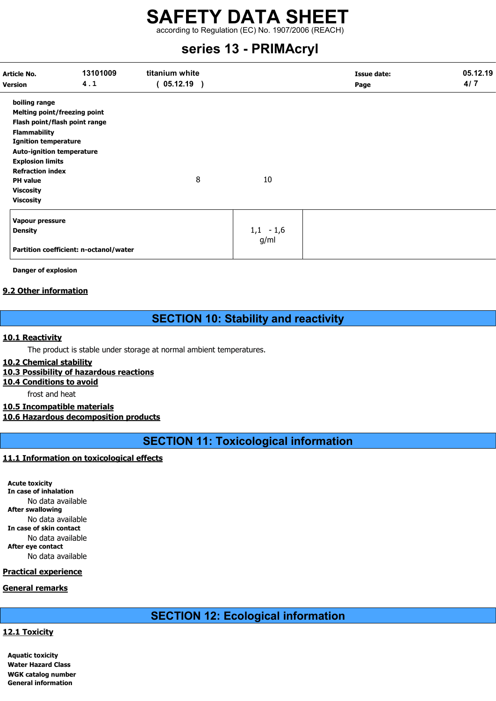according to Regulation (EC) No. 1907/2006 (REACH)

# series 13 - PRIMAcryl

| Article No.<br><b>Version</b>       | 13101009<br>4.1                        | titanium white<br>$05.12.19$ ) |   |             | <b>Issue date:</b><br>Page | 05.12.19<br>4/7 |
|-------------------------------------|----------------------------------------|--------------------------------|---|-------------|----------------------------|-----------------|
| boiling range                       |                                        |                                |   |             |                            |                 |
| <b>Melting point/freezing point</b> |                                        |                                |   |             |                            |                 |
| Flash point/flash point range       |                                        |                                |   |             |                            |                 |
| <b>Flammability</b>                 |                                        |                                |   |             |                            |                 |
| <b>Ignition temperature</b>         |                                        |                                |   |             |                            |                 |
| <b>Auto-ignition temperature</b>    |                                        |                                |   |             |                            |                 |
| <b>Explosion limits</b>             |                                        |                                |   |             |                            |                 |
| <b>Refraction index</b>             |                                        |                                |   |             |                            |                 |
| <b>PH</b> value                     |                                        |                                | 8 | 10          |                            |                 |
| <b>Viscosity</b>                    |                                        |                                |   |             |                            |                 |
| <b>Viscosity</b>                    |                                        |                                |   |             |                            |                 |
| Vapour pressure                     |                                        |                                |   |             |                            |                 |
| <b>Density</b>                      |                                        |                                |   | $1,1 - 1,6$ |                            |                 |
|                                     | Partition coefficient: n-octanol/water |                                |   | g/ml        |                            |                 |

Danger of explosion

# 9.2 Other information

# SECTION 10: Stability and reactivity

# 10.1 Reactivity

The product is stable under storage at normal ambient temperatures.

# 10.2 Chemical stability

# 10.3 Possibility of hazardous reactions

10.4 Conditions to avoid

frost and heat

# 10.5 Incompatible materials

10.6 Hazardous decomposition products

SECTION 11: Toxicological information

# 11.1 Information on toxicological effects

Acute toxicity In case of inhalation No data available After swallowing No data available In case of skin contact No data available After eye contact No data available

# Practical experience

# General remarks

# SECTION 12: Ecological information

# 12.1 Toxicity

Aquatic toxicity Water Hazard Class WGK catalog number General information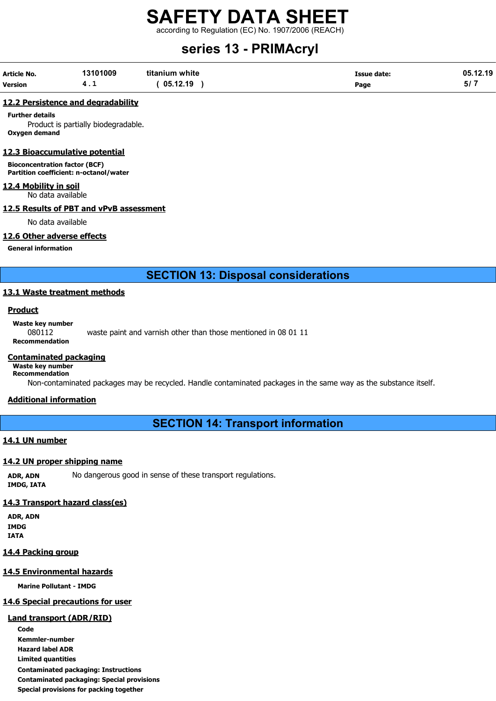according to Regulation (EC) No. 1907/2006 (REACH)

# series 13 - PRIMAcryl

| Article No.    | 13101009 | titanium white | <b>Issue date:</b> | 05.12.19 |
|----------------|----------|----------------|--------------------|----------|
| <b>Version</b> | 4. L     | 05.12.19       | Page               | - 57 7   |

#### 12.2 Persistence and degradability

Further details

Product is partially biodegradable. Oxygen demand

# 12.3 Bioaccumulative potential

Bioconcentration factor (BCF) Partition coefficient: n-octanol/water

# 12.4 Mobility in soil

No data available

#### 12.5 Results of PBT and vPvB assessment

No data available

# 12.6 Other adverse effects

General information

SECTION 13: Disposal considerations

# 13.1 Waste treatment methods

#### Product

Waste key number

080112 waste paint and varnish other than those mentioned in 08 01 11 Recommendation

### Contaminated packaging

Waste key number Recommendation

Non-contaminated packages may be recycled. Handle contaminated packages in the same way as the substance itself.

# Additional information

SECTION 14: Transport information

# 14.1 UN number

# 14.2 UN proper shipping name

ADR, ADN No dangerous good in sense of these transport regulations. IMDG, IATA

# 14.3 Transport hazard class(es)

ADR, ADN IMDG IATA

# 14.4 Packing group

# 14.5 Environmental hazards

Marine Pollutant - IMDG

# 14.6 Special precautions for user

# Land transport (ADR/RID)

Code Kemmler-number Hazard label ADR Limited quantities Contaminated packaging: Instructions Contaminated packaging: Special provisions Special provisions for packing together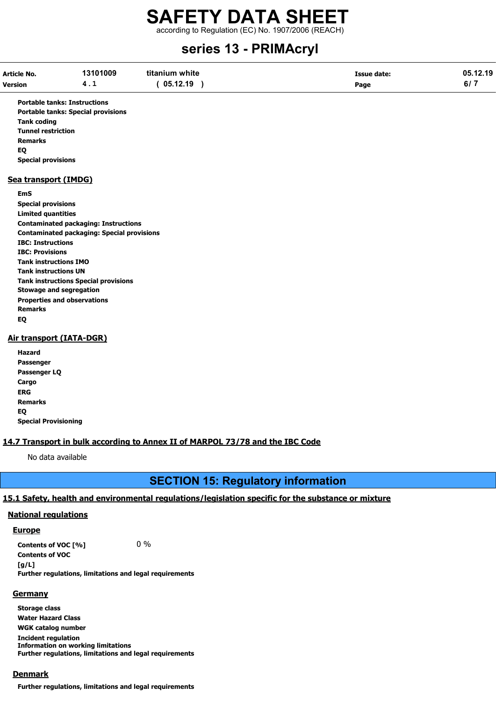according to Regulation (EC) No. 1907/2006 (REACH)

# series 13 - PRIMAcryl

| <b>Article No.</b> | 13101009 | titanium white | Issue date: | 05.12.19   |
|--------------------|----------|----------------|-------------|------------|
| <b>Version</b>     | 4.1      | 05.12.19       | Page        | <b>107</b> |

Portable tanks: Instructions Portable tanks: Special provisions Tank coding Tunnel restriction Remarks EQ Special provisions

# Sea transport (IMDG)

EmS

Special provisions Limited quantities Contaminated packaging: Instructions Contaminated packaging: Special provisions IBC: Instructions IBC: Provisions Tank instructions IMO Tank instructions UN Tank instructions Special provisions Stowage and segregation Properties and observations Remarks EQ

# Air transport (IATA-DGR)

Hazard Passenger Passenger LQ **Cargo** ERG Remarks EQ Special Provisioning

# 14.7 Transport in bulk according to Annex II of MARPOL 73/78 and the IBC Code

No data available

# SECTION 15: Regulatory information

# 15.1 Safety, health and environmental regulations/legislation specific for the substance or mixture

# National regulations

# **Europe**

Contents of VOC  $[%]$  0 % Contents of VOC  $[a/L]$ Further regulations, limitations and legal requirements

# **Germany**

Storage class Water Hazard Class WGK catalog number Incident regulation Information on working limitations Further regulations, limitations and legal requirements

# **Denmark**

Further regulations, limitations and legal requirements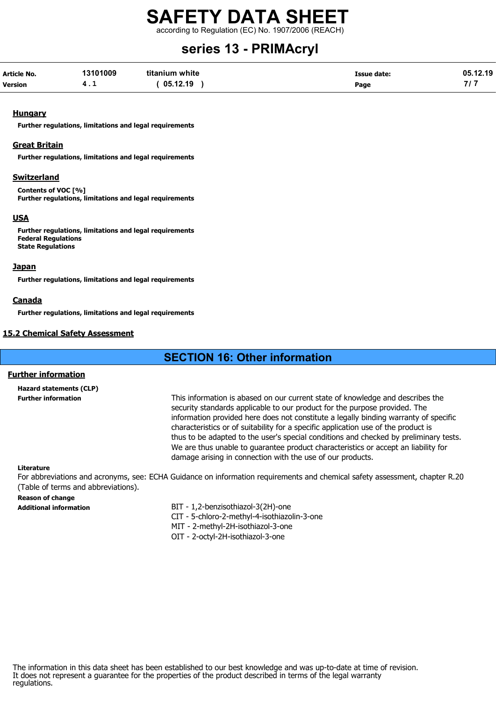according to Regulation (EC) No. 1907/2006 (REACH)

# series 13 - PRIMAcryl

| Article No.    | 13101009 | titanium white | Issue date: | 05.12.19 |
|----------------|----------|----------------|-------------|----------|
| <b>Version</b> | . .      | 05.12.19       | Page        |          |

#### **Hungary**

Further regulations, limitations and legal requirements

#### Great Britain

Further regulations, limitations and legal requirements

# **Switzerland**

Contents of VOC [%] Further regulations, limitations and legal requirements

# USA

Further regulations, limitations and legal requirements Federal Regulations State Regulations

### Japan

Further regulations, limitations and legal requirements

#### Canada

Further regulations, limitations and legal requirements

# 15.2 Chemical Safety Assessment

# SECTION 16: Other information

# Further information

Hazard statements (CLP)

Further information This information is abased on our current state of knowledge and describes the security standards applicable to our product for the purpose provided. The information provided here does not constitute a legally binding warranty of specific characteristics or of suitability for a specific application use of the product is thus to be adapted to the user's special conditions and checked by preliminary tests. We are thus unable to guarantee product characteristics or accept an liability for damage arising in connection with the use of our products.

#### Literature

For abbreviations and acronyms, see: ECHA Guidance on information requirements and chemical safety assessment, chapter R.20 (Table of terms and abbreviations).

# Reason of change

- Additional information BIT 1,2-benzisothiazol-3(2H)-one
	- CIT 5-chloro-2-methyl-4-isothiazolin-3-one
	- MIT 2-methyl-2H-isothiazol-3-one
	- OIT 2-octyl-2H-isothiazol-3-one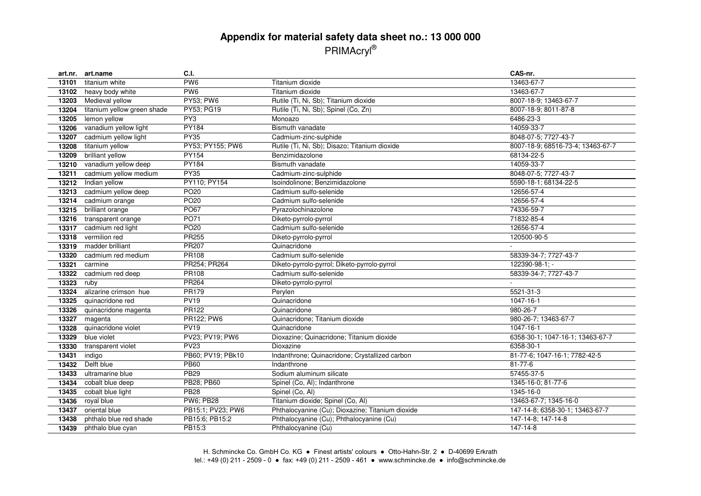# **Appendix for material safety data sheet no.: 13 000 000** PRIMAcryl®

| art.nr. | art.name                    | C.I.              |                                                  | CAS-nr.                           |
|---------|-----------------------------|-------------------|--------------------------------------------------|-----------------------------------|
| 13101   | titanium white              | PW <sub>6</sub>   | Titanium dioxide                                 | 13463-67-7                        |
| 13102   | heavy body white            | PW <sub>6</sub>   | Titanium dioxide                                 | 13463-67-7                        |
| 13203   | Medieval yellow             | <b>PY53; PW6</b>  | Rutile (Ti, Ni, Sb); Titanium dioxide            | 8007-18-9; 13463-67-7             |
| 13204   | titanium yellow green shade | PY53; PG19        | Rutile (Ti, Ni, Sb); Spinel (Co, Zn)             | 8007-18-9; 8011-87-8              |
| 13205   | lemon yellow                | PY3               | Monoazo                                          | 6486-23-3                         |
| 13206   | vanadium yellow light       | PY184             | Bismuth vanadate                                 | 14059-33-7                        |
| 13207   | cadmium yellow light        | <b>PY35</b>       | Cadmium-zinc-sulphide                            | 8048-07-5; 7727-43-7              |
| 13208   | titanium yellow             | PY53; PY155; PW6  | Rutile (Ti, Ni, Sb); Disazo; Titanium dioxide    | 8007-18-9; 68516-73-4; 13463-67-7 |
| 13209   | brilliant yellow            | PY154             | Benzimidazolone                                  | 68134-22-5                        |
| 13210   | vanadium yellow deep        | PY184             | Bismuth vanadate                                 | 14059-33-7                        |
| 13211   | cadmium yellow medium       | <b>PY35</b>       | Cadmium-zinc-sulphide                            | 8048-07-5; 7727-43-7              |
| 13212   | Indian yellow               | PY110; PY154      | Isoindolinone; Benzimidazolone                   | 5590-18-1; 68134-22-5             |
| 13213   | cadmium yellow deep         | PO <sub>20</sub>  | Cadmium sulfo-selenide                           | 12656-57-4                        |
| 13214   | cadmium orange              | PO <sub>20</sub>  | Cadmium sulfo-selenide                           | 12656-57-4                        |
| 13215   | brilliant orange            | <b>PO67</b>       | Pyrazolochinazolone                              | 74336-59-7                        |
| 13216   | transparent orange          | <b>PO71</b>       | Diketo-pyrrolo-pyrrol                            | 71832-85-4                        |
| 13317   | cadmium red light           | PO <sub>20</sub>  | Cadmium sulfo-selenide                           | 12656-57-4                        |
| 13318   | vermilion red               | PR255             | Diketo-pyrrolo-pyrrol                            | 120500-90-5                       |
| 13319   | madder brilliant            | <b>PR207</b>      | Quinacridone                                     |                                   |
| 13320   | cadmium red medium          | PR108             | Cadmium sulfo-selenide                           | 58339-34-7; 7727-43-7             |
| 13321   | carmine                     | PR254; PR264      | Diketo-pyrrolo-pyrrol; Diketo-pyrrolo-pyrrol     | 122390-98-1; -                    |
| 13322   | cadmium red deep            | PR108             | Cadmium sulfo-selenide                           | 58339-34-7; 7727-43-7             |
| 13323   | ruby                        | <b>PR264</b>      | Diketo-pyrrolo-pyrrol                            |                                   |
| 13324   | alizarine crimson hue       | PR179             | Perylen                                          | 5521-31-3                         |
| 13325   | quinacridone red            | <b>PV19</b>       | Quinacridone                                     | 1047-16-1                         |
| 13326   | quinacridone magenta        | PR122             | Quinacridone                                     | 980-26-7                          |
| 13327   | magenta                     | PR122; PW6        | Quinacridone; Titanium dioxide                   | 980-26-7; 13463-67-7              |
| 13328   | quinacridone violet         | <b>PV19</b>       | Quinacridone                                     | 1047-16-1                         |
| 13329   | blue violet                 | PV23; PV19; PW6   | Dioxazine; Quinacridone; Titanium dioxide        | 6358-30-1; 1047-16-1; 13463-67-7  |
| 13330   | transparent violet          | <b>PV23</b>       | Dioxazine                                        | 6358-30-1                         |
| 13431   | indigo                      | PB60; PV19; PBk10 | Indanthrone; Quinacridone; Crystallized carbon   | 81-77-6; 1047-16-1; 7782-42-5     |
| 13432   | Delft blue                  | <b>PB60</b>       | Indanthrone                                      | $81 - 77 - 6$                     |
| 13433   | ultramarine blue            | <b>PB29</b>       | Sodium aluminum silicate                         | 57455-37-5                        |
| 13434   | cobalt blue deep            | PB28; PB60        | Spinel (Co, Al); Indanthrone                     | 1345-16-0; 81-77-6                |
| 13435   | cobalt blue light           | <b>PB28</b>       | Spinel (Co, Al)                                  | 1345-16-0                         |
| 13436   | royal blue                  | <b>PW6: PB28</b>  | Titanium dioxide; Spinel (Co, Al)                | 13463-67-7; 1345-16-0             |
| 13437   | oriental blue               | PB15:1; PV23; PW6 | Phthalocyanine (Cu); Dioxazine; Titanium dioxide | 147-14-8; 6358-30-1; 13463-67-7   |
| 13438   | phthalo blue red shade      | PB15:6; PB15:2    | Phthalocyanine (Cu); Phthalocyanine (Cu)         | 147-14-8; 147-14-8                |
| 13439   | phthalo blue cyan           | PB15:3            | Phthalocyanine (Cu)                              | 147-14-8                          |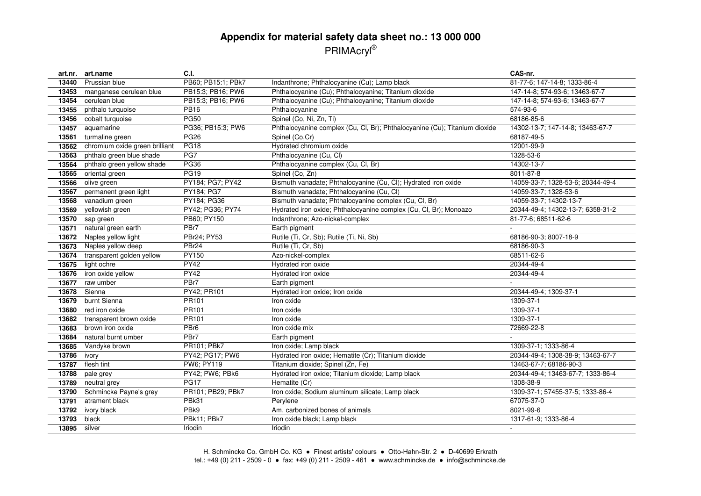# **Appendix for material safety data sheet no.: 13 000 000** PRIMAcryl®

| art.nr. | art.name                       | C.I.               |                                                                            | CAS-nr.                           |
|---------|--------------------------------|--------------------|----------------------------------------------------------------------------|-----------------------------------|
| 13440   | Prussian blue                  | PB60; PB15:1; PBk7 | Indanthrone; Phthalocyanine (Cu); Lamp black                               | 81-77-6; 147-14-8; 1333-86-4      |
| 13453   | manganese cerulean blue        | PB15:3; PB16; PW6  | Phthalocyanine (Cu); Phthalocyanine; Titanium dioxide                      | 147-14-8; 574-93-6; 13463-67-7    |
| 13454   | cerulean blue                  | PB15:3; PB16; PW6  | Phthalocyanine (Cu); Phthalocyanine; Titanium dioxide                      | 147-14-8; 574-93-6; 13463-67-7    |
| 13455   | phthalo turquoise              | <b>PB16</b>        | Phthalocyanine                                                             | 574-93-6                          |
| 13456   | cobalt turquoise               | <b>PG50</b>        | Spinel (Co, Ni, Zn, Ti)                                                    | 68186-85-6                        |
| 13457   | aquamarine                     | PG36; PB15:3; PW6  | Phthalocyanine complex (Cu, Cl, Br); Phthalocyanine (Cu); Titanium dioxide | 14302-13-7; 147-14-8; 13463-67-7  |
| 13561   | turmaline green                | <b>PG26</b>        | Spinel (Co,Cr)                                                             | 68187-49-5                        |
| 13562   | chromium oxide green brilliant | <b>PG18</b>        | Hydrated chromium oxide                                                    | 12001-99-9                        |
| 13563   | phthalo green blue shade       | PG7                | Phthalocyanine (Cu, Cl)                                                    | 1328-53-6                         |
| 13564   | phthalo green yellow shade     | PG36               | Phthalocyanine complex (Cu, Cl, Br)                                        | 14302-13-7                        |
| 13565   | oriental green                 | <b>PG19</b>        | Spinel (Co, Zn)                                                            | 8011-87-8                         |
| 13566   | olive green                    | PY184; PG7; PY42   | Bismuth vanadate; Phthalocyanine (Cu, Cl); Hydrated iron oxide             | 14059-33-7; 1328-53-6; 20344-49-4 |
| 13567   | permanent green light          | PY184; PG7         | Bismuth vanadate; Phthalocyanine (Cu, Cl)                                  | 14059-33-7; 1328-53-6             |
| 13568   | vanadium green                 | PY184; PG36        | Bismuth vanadate; Phthalocyanine complex (Cu, Cl, Br)                      | 14059-33-7; 14302-13-7            |
| 13569   | yellowish green                | PY42; PG36; PY74   | Hydrated iron oxide; Phthalocyanine complex (Cu, Cl, Br); Monoazo          | 20344-49-4; 14302-13-7; 6358-31-2 |
| 13570   | sap green                      | PB60: PY150        | Indanthrone; Azo-nickel-complex                                            | 81-77-6; 68511-62-6               |
| 13571   | natural green earth            | PBr7               | Earth pigment                                                              | ÷.                                |
| 13672   | Naples yellow light            | PBr24; PY53        | Rutile (Ti, Cr, Sb); Rutile (Ti, Ni, Sb)                                   | 68186-90-3; 8007-18-9             |
| 13673   | Naples yellow deep             | PBr <sub>24</sub>  | Rutile (Ti, Cr, Sb)                                                        | 68186-90-3                        |
| 13674   | transparent golden yellow      | PY150              | Azo-nickel-complex                                                         | 68511-62-6                        |
| 13675   | light ochre                    | <b>PY42</b>        | Hydrated iron oxide                                                        | 20344-49-4                        |
| 13676   | iron oxide yellow              | <b>PY42</b>        | Hydrated iron oxide                                                        | 20344-49-4                        |
| 13677   | raw umber                      | PBr7               | Earth pigment                                                              |                                   |
| 13678   | Sienna                         | PY42; PR101        | Hydrated iron oxide; Iron oxide                                            | 20344-49-4; 1309-37-1             |
| 13679   | burnt Sienna                   | PR101              | Iron oxide                                                                 | 1309-37-1                         |
| 13680   | red iron oxide                 | PR101              | Iron oxide                                                                 | 1309-37-1                         |
| 13682   | transparent brown oxide        | PR101              | Iron oxide                                                                 | 1309-37-1                         |
| 13683   | brown iron oxide               | PBr <sub>6</sub>   | Iron oxide mix                                                             | 72669-22-8                        |
| 13684   | natural burnt umber            | PBr7               | Earth pigment                                                              |                                   |
| 13685   | Vandyke brown                  | PR101; PBk7        | Iron oxide; Lamp black                                                     | 1309-37-1; 1333-86-4              |
| 13786   | ivory                          | PY42; PG17; PW6    | Hydrated iron oxide; Hematite (Cr); Titanium dioxide                       | 20344-49-4; 1308-38-9; 13463-67-7 |
| 13787   | flesh tint                     | PW6; PY119         | Titanium dioxide; Spinel (Zn, Fe)                                          | 13463-67-7; 68186-90-3            |
| 13788   | pale grey                      | PY42; PW6; PBk6    | Hydrated iron oxide; Titanium dioxide; Lamp black                          | 20344-49-4; 13463-67-7; 1333-86-4 |
| 13789   | neutral grey                   | <b>PG17</b>        | Hematite (Cr)                                                              | 1308-38-9                         |
| 13790   | Schmincke Payne's grey         | PR101; PB29; PBk7  | Iron oxide; Sodium aluminum silicate; Lamp black                           | 1309-37-1; 57455-37-5; 1333-86-4  |
| 13791   | atrament black                 | PBk31              | Perylene                                                                   | 67075-37-0                        |
| 13792   | ivory black                    | PB <sub>k9</sub>   | Am. carbonized bones of animals                                            | 8021-99-6                         |
| 13793   | black                          | PBk11; PBk7        | Iron oxide black; Lamp black                                               | 1317-61-9; 1333-86-4              |
| 13895   | silver                         | Iriodin            | Iriodin                                                                    | $\overline{\phantom{a}}$          |